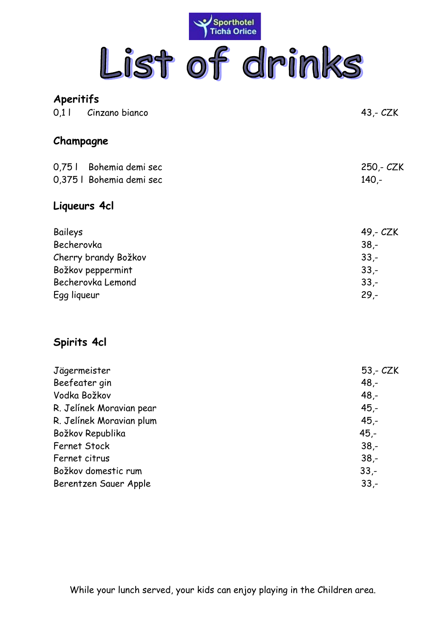

| Aperitifs                                                                                              |                                                            |
|--------------------------------------------------------------------------------------------------------|------------------------------------------------------------|
| 0.1   Cinzano bianco                                                                                   | $43 - CZK$                                                 |
| Champagne                                                                                              |                                                            |
| 0,751 Bohemia demi sec<br>0,375   Bohemia demi sec                                                     | 250,- CZK<br>$140 -$                                       |
| Liqueurs 4cl                                                                                           |                                                            |
| Baileys<br>Becherovka<br>Cherry brandy Božkov<br>Božkov peppermint<br>Becherovka Lemond<br>Egg liqueur | 49,- CZK<br>$38 -$<br>$33 -$<br>$33 -$<br>$33 -$<br>$29 -$ |

## **Spirits 4cl**

| Jägermeister             | $53 - CZK$ |
|--------------------------|------------|
| Beefeater gin            | $48 -$     |
| Vodka Božkov             | $48 -$     |
| R. Jelínek Moravian pear | $45 -$     |
| R. Jelínek Moravian plum | $45 -$     |
| Božkov Republika         | $45 -$     |
| <b>Fernet Stock</b>      | $38 -$     |
| Fernet citrus            | $38 -$     |
| Božkov domestic rum      | $33 -$     |
| Berentzen Sauer Apple    | $33 -$     |
|                          |            |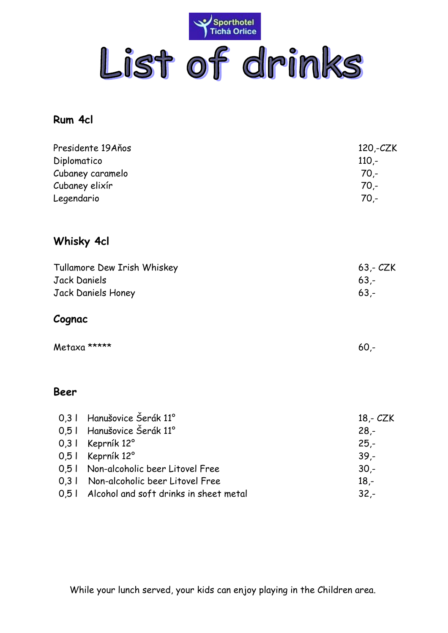

## **Rum 4cl**

| Presidente 19Años<br>Diplomatico<br>Cubaney caramelo<br>Cubaney elixír<br>Legendario |                                                   | $120,-CZK$<br>$110 -$<br>$70 -$<br>$70 -$<br>$70 -$ |
|--------------------------------------------------------------------------------------|---------------------------------------------------|-----------------------------------------------------|
|                                                                                      | <b>Whisky 4cl</b>                                 |                                                     |
| <b>Jack Daniels</b>                                                                  | Tullamore Dew Irish Whiskey<br>Jack Daniels Honey | $63 - CZK$<br>$63 -$<br>$63 -$                      |
| Cognac                                                                               |                                                   |                                                     |
| Metaxa *****                                                                         |                                                   | $60 -$                                              |
| Beer                                                                                 |                                                   |                                                     |
|                                                                                      | 0,3   Hanušovice Šerák 11°                        | $18 - CZK$                                          |
|                                                                                      | 0,5   Hanušovice Šerák 11°                        | $28 -$                                              |
| $0,3$                                                                                | Keprník 12°                                       | $25 -$                                              |
| 0,5                                                                                  | Keprník 12°                                       | $39 -$                                              |
| 0,51                                                                                 | Non-alcoholic beer Litovel Free                   | $30 -$                                              |
| 0,3                                                                                  | Non-alcoholic beer Litovel Free                   | $18 -$                                              |
| 0,5                                                                                  | Alcohol and soft drinks in sheet metal            | $32 -$                                              |

While your lunch served, your kids can enjoy playing in the Children area.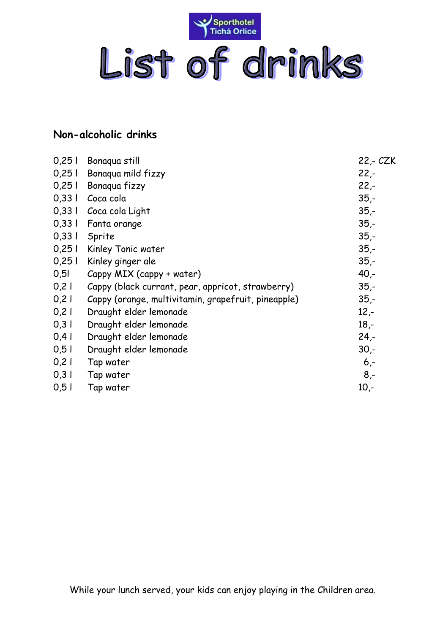

## **Non-alcoholic drinks**

| Bonaqua still                                       | 22,- CZK |
|-----------------------------------------------------|----------|
| Bonaqua mild fizzy                                  | $22 -$   |
| Bonaqua fizzy                                       | $22 -$   |
| Coca cola                                           | $35 -$   |
| Coca cola Light                                     | $35 -$   |
| Fanta orange                                        | $35 -$   |
| Sprite                                              | $35 -$   |
| Kinley Tonic water                                  | $35 -$   |
| Kinley ginger ale                                   | $35 -$   |
| Cappy MIX (cappy + water)                           | $40 -$   |
| Cappy (black currant, pear, appricot, strawberry)   | $35 -$   |
| Cappy (orange, multivitamin, grapefruit, pineapple) | $35 -$   |
| Draught elder lemonade                              | $12 -$   |
| Draught elder lemonade                              | $18 -$   |
| Draught elder lemonade                              | $24 -$   |
| Draught elder lemonade                              | $30 -$   |
| Tap water                                           | $6 -$    |
| Tap water                                           | $8,-$    |
| Tap water                                           | $10,-$   |
|                                                     |          |